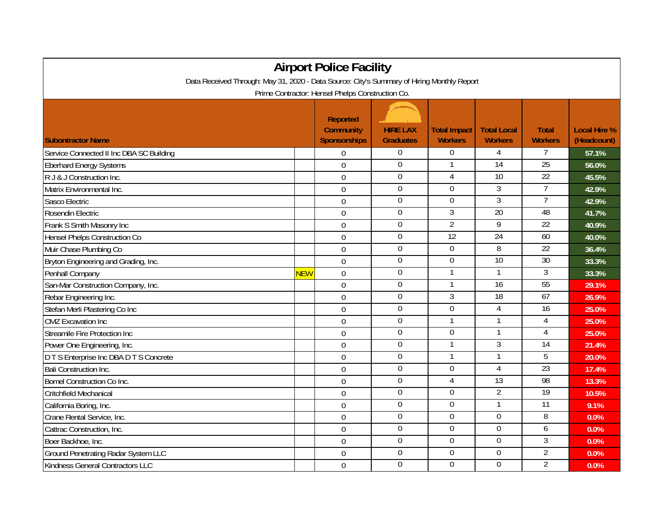| <b>Airport Police Facility</b>                                                                                                                 |            |                |                  |                |                  |                 |       |  |  |  |  |  |
|------------------------------------------------------------------------------------------------------------------------------------------------|------------|----------------|------------------|----------------|------------------|-----------------|-------|--|--|--|--|--|
| Data Received Through: May 31, 2020 - Data Source: City's Summary of Hiring Monthly Report<br>Prime Contractor: Hensel Phelps Construction Co. |            |                |                  |                |                  |                 |       |  |  |  |  |  |
|                                                                                                                                                |            |                |                  |                |                  |                 |       |  |  |  |  |  |
| Service Connected II Inc DBA SC Building                                                                                                       |            | 0              | $\boldsymbol{0}$ | $\overline{0}$ | 4                | 7               | 57.1% |  |  |  |  |  |
| <b>Eberhard Energy Systems</b>                                                                                                                 |            | $\Omega$       | $\boldsymbol{0}$ | 1              | $\overline{14}$  | $\overline{25}$ | 56.0% |  |  |  |  |  |
| R J & J Construction Inc.                                                                                                                      |            | $\overline{0}$ | $\mathbf 0$      | $\overline{4}$ | $\overline{10}$  | $\overline{22}$ | 45.5% |  |  |  |  |  |
| Matrix Environmental Inc.                                                                                                                      |            | $\mathbf 0$    | $\overline{0}$   | $\Omega$       | $\overline{3}$   | $\overline{7}$  | 42.9% |  |  |  |  |  |
| Sasco Electric                                                                                                                                 |            | $\overline{0}$ | $\mathbf 0$      | $\Omega$       | $\overline{3}$   | $\overline{7}$  | 42.9% |  |  |  |  |  |
| Rosendin Electric                                                                                                                              |            | $\mathbf 0$    | $\boldsymbol{0}$ | 3              | $\overline{20}$  | 48              | 41.7% |  |  |  |  |  |
| Frank S Smith Masonry Inc                                                                                                                      |            | $\mathbf 0$    | $\boldsymbol{0}$ | $\overline{2}$ | $\overline{9}$   | 22              | 40.9% |  |  |  |  |  |
| Hensel Phelps Construction Co                                                                                                                  |            | $\Omega$       | $\overline{0}$   | 12             | 24               | 60              | 40.0% |  |  |  |  |  |
| Muir Chase Plumbing Co                                                                                                                         |            | $\mathbf 0$    | $\mathbf 0$      | $\Omega$       | 8                | 22              | 36.4% |  |  |  |  |  |
| Bryton Engineering and Grading, Inc.                                                                                                           |            | $\mathbf 0$    | $\boldsymbol{0}$ | $\mathbf 0$    | $\overline{10}$  | $\overline{30}$ | 33.3% |  |  |  |  |  |
| Penhall Company                                                                                                                                | <b>NEW</b> | $\overline{0}$ | $\mathbf 0$      | $\mathbf{1}$   | $\mathbf{1}$     | 3               | 33.3% |  |  |  |  |  |
| San-Mar Construction Company, Inc.                                                                                                             |            | $\overline{0}$ | $\overline{0}$   |                | 16               | 55              | 29.1% |  |  |  |  |  |
| Rebar Engineering Inc.                                                                                                                         |            | $\overline{0}$ | $\overline{0}$   | $\overline{3}$ | 18               | 67              | 26.9% |  |  |  |  |  |
| Stefan Merli Plastering Co Inc                                                                                                                 |            | $\overline{0}$ | $\boldsymbol{0}$ | $\Omega$       | 4                | 16              | 25.0% |  |  |  |  |  |
| <b>CMZ</b> Excavation Inc                                                                                                                      |            | $\overline{0}$ | $\boldsymbol{0}$ | $\mathbf{1}$   | $\mathbf 1$      | 4               | 25.0% |  |  |  |  |  |
| Streamile Fire Protection Inc                                                                                                                  |            | $\overline{0}$ | $\overline{0}$   | $\overline{0}$ |                  | $\overline{4}$  | 25.0% |  |  |  |  |  |
| Power One Engineering, Inc.                                                                                                                    |            | $\overline{0}$ | $\boldsymbol{0}$ | $\mathbf{1}$   | 3                | 14              | 21.4% |  |  |  |  |  |
| D T S Enterprise Inc DBA D T S Concrete                                                                                                        |            | $\overline{0}$ | $\mathbf 0$      | $\mathbf{1}$   | 1                | 5               | 20.0% |  |  |  |  |  |
| <b>Bali Construction Inc.</b>                                                                                                                  |            | $\mathbf 0$    | $\boldsymbol{0}$ | $\overline{0}$ | 4                | 23              | 17.4% |  |  |  |  |  |
| <b>Bomel Construction Co Inc.</b>                                                                                                              |            | $\mathbf 0$    | $\boldsymbol{0}$ | 4              | $\overline{13}$  | 98              | 13.3% |  |  |  |  |  |
| Critchfield Mechanical                                                                                                                         |            | $\overline{0}$ | $\overline{0}$   | $\overline{0}$ | $\overline{2}$   | 19              | 10.5% |  |  |  |  |  |
| California Boring, Inc.                                                                                                                        |            | $\overline{0}$ | $\boldsymbol{0}$ | $\mathbf 0$    | $\mathbf{1}$     | $\overline{11}$ | 9.1%  |  |  |  |  |  |
| Crane Rental Service, Inc.                                                                                                                     |            | $\Omega$       | $\boldsymbol{0}$ | $\overline{0}$ | $\overline{0}$   | $\overline{8}$  | 0.0%  |  |  |  |  |  |
| Cattrac Construction, Inc.                                                                                                                     |            | $\mathbf 0$    | $\boldsymbol{0}$ | $\Omega$       | $\overline{0}$   | 6               | 0.0%  |  |  |  |  |  |
| Boer Backhoe, Inc.                                                                                                                             |            | $\mathbf 0$    | $\overline{0}$   | $\Omega$       | $\mathbf 0$      | 3               | 0.0%  |  |  |  |  |  |
| Ground Penetrating Radar System LLC                                                                                                            |            | $\overline{0}$ | $\boldsymbol{0}$ | $\mathbf 0$    | $\boldsymbol{0}$ | $\overline{2}$  | 0.0%  |  |  |  |  |  |
| Kindness General Contractors LLC                                                                                                               |            | $\overline{0}$ | $\boldsymbol{0}$ | $\Omega$       | $\mathbf 0$      | $\overline{2}$  | 0.0%  |  |  |  |  |  |